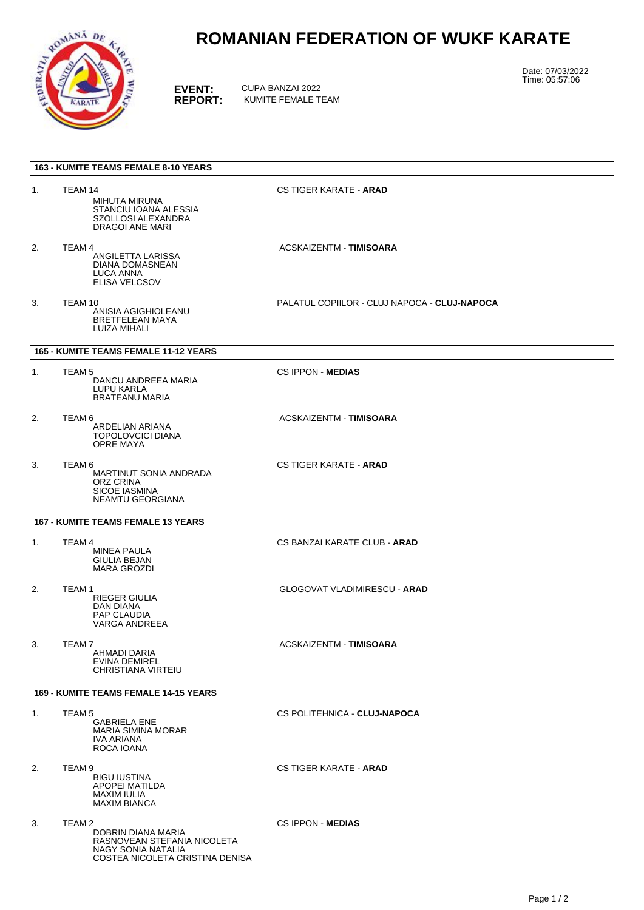

## **ROMANIAN FEDERATION OF WUKF KARATE**

**EVENT:** CUPA BANZAI 2022<br> **REPORT:** KUMITE FEMALE TI **REPORT:** KUMITE FEMALE TEAM Date: 07/03/2022 Time: 05:57:06

| <b>163 - KUMITE TEAMS FEMALE 8-10 YEARS</b>  |                                                                                                                                 |                                              |
|----------------------------------------------|---------------------------------------------------------------------------------------------------------------------------------|----------------------------------------------|
| 1.                                           | TEAM 14<br>MIHUTA MIRUNA<br>STANCIU IOANA ALESSIA<br>SZOLLOSI ALEXANDRA<br>DRAGOI ANE MARI                                      | <b>CS TIGER KARATE - ARAD</b>                |
| 2.                                           | TEAM 4<br>ANGILETTA LARISSA<br>DIANA DOMASNEAN<br><b>LUCA ANNA</b><br>ELISA VELCSOV                                             | ACSKAIZENTM - TIMISOARA                      |
| 3.                                           | TEAM 10<br>ANISIA AGIGHIOLEANU<br><b>BRETFELEAN MAYA</b><br>LUIZA MIHALI                                                        | PALATUL COPIILOR - CLUJ NAPOCA - CLUJ-NAPOCA |
| <b>165 - KUMITE TEAMS FEMALE 11-12 YEARS</b> |                                                                                                                                 |                                              |
| 1.                                           | TEAM <sub>5</sub><br>DANCU ANDREEA MARIA<br>LUPU KARLA<br><b>BRATEANU MARIA</b>                                                 | <b>CS IPPON - MEDIAS</b>                     |
| 2.                                           | TEAM 6<br>ARDELIAN ARIANA<br><b>TOPOLOVCICI DIANA</b><br>OPRE MAYA                                                              | ACSKAIZENTM - TIMISOARA                      |
| 3.                                           | TEAM 6<br>MARTINUT SONIA ANDRADA<br>ORZ CRINA<br><b>SICOE IASMINA</b><br>NEAMTU GEORGIANA                                       | <b>CS TIGER KARATE - ARAD</b>                |
| <b>167 - KUMITE TEAMS FEMALE 13 YEARS</b>    |                                                                                                                                 |                                              |
| 1.                                           | TEAM 4<br>MINEA PAULA<br>GIULIA BEJAN<br><b>MARA GROZDI</b>                                                                     | CS BANZAI KARATE CLUB - <b>ARAD</b>          |
| 2.                                           | TEAM <sub>1</sub><br><b>RIEGER GIULIA</b><br>DAN DIANA<br><b>PAP CLAUDIA</b><br>VARGA ANDREEA                                   | <b>GLOGOVAT VLADIMIRESCU - ARAD</b>          |
| 3.                                           | TEAM <sub>7</sub><br>AHMADI DARIA<br>EVINA DEMIREL<br>CHRISTIANA VIRTEIU                                                        | ACSKAIZENTM - TIMISOARA                      |
| <b>169 - KUMITE TEAMS FEMALE 14-15 YEARS</b> |                                                                                                                                 |                                              |
| 1.                                           | TEAM <sub>5</sub><br><b>GABRIELA ENE</b><br><b>MARIA SIMINA MORAR</b><br>IVA ARIANA<br>ROCA IOANA                               | CS POLITEHNICA - CLUJ-NAPOCA                 |
| 2.                                           | TEAM 9<br><b>BIGU IUSTINA</b><br>APOPEI MATILDA<br>MAXIM IULIA<br><b>MAXIM BIANCA</b>                                           | <b>CS TIGER KARATE - ARAD</b>                |
| 3.                                           | TEAM <sub>2</sub><br>DOBRIN DIANA MARIA<br>RASNOVEAN STEFANIA NICOLETA<br>NAGY SONIA NATALIA<br>COSTEA NICOLETA CRISTINA DENISA | <b>CS IPPON - MEDIAS</b>                     |